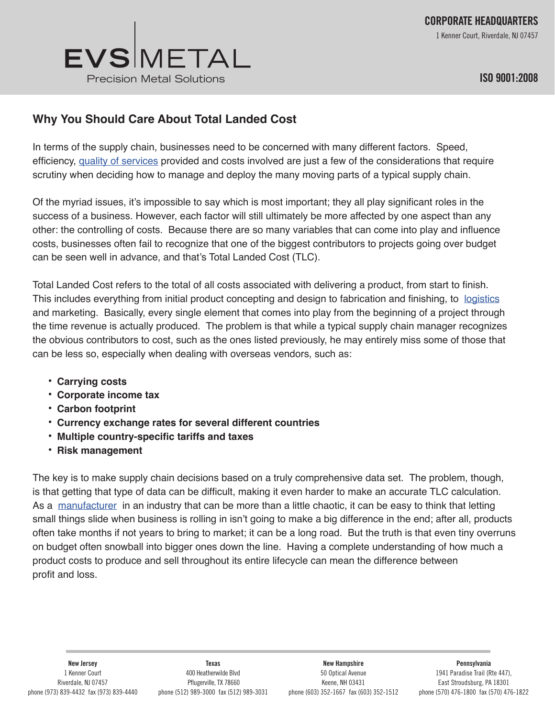

## EVSMETAL Precision Metal Solutions

## **Why You Should Care About Total Landed Cost**

In terms of the supply chain, businesses need to be concerned with many different factors. Speed, efficiency, quality of services provided and costs involved are just a few of the considerations that require scrutiny when deciding how to manage and deploy the many moving parts of a typical supply chain.

Of the myriad issues, it's impossible to say which is most important; they all play significant roles in the success of a business. However, each factor will still ultimately be more affected by one aspect than any other: the controlling of costs. Because there are so many variables that can come into play and influence costs, businesses often fail to recognize that one of the biggest contributors to projects going over budget can be seen well in advance, and that's Total Landed Cost (TLC).

Total Landed Cost refers to the total of all costs associated with delivering a product, from start to finish. This includes everything from initial product concepting and design to fabrication and finishing, to logistics and marketing. Basically, every single element that comes into play from the beginning of a project through the time revenue is actually produced. The problem is that while a typical supply chain manager recognizes the obvious contributors to cost, such as the ones listed previously, he may entirely miss some of those that can be less so, especially when dealing with overseas vendors, such as:

- **• Carrying costs**
- **• Corporate income tax**
- **• Carbon footprint**
- **• Currency exchange rates for several different countries**
- **• Multiple country-specific tariffs and taxes**
- **• Risk management**

The key is to make supply chain decisions based on a truly comprehensive data set. The problem, though, is that getting that type of data can be difficult, making it even harder to make an accurate TLC calculation. As a manufacturer in an industry that can be more than a little chaotic, it can be easy to think that letting small things slide when business is rolling in isn't going to make a big difference in the end; after all, products often take months if not years to bring to market; it can be a long road. But the truth is that even tiny overruns on budget often snowball into bigger ones down the line. Having a complete understanding of how much a product costs to produce and sell throughout its entire lifecycle can mean the difference between profit and loss.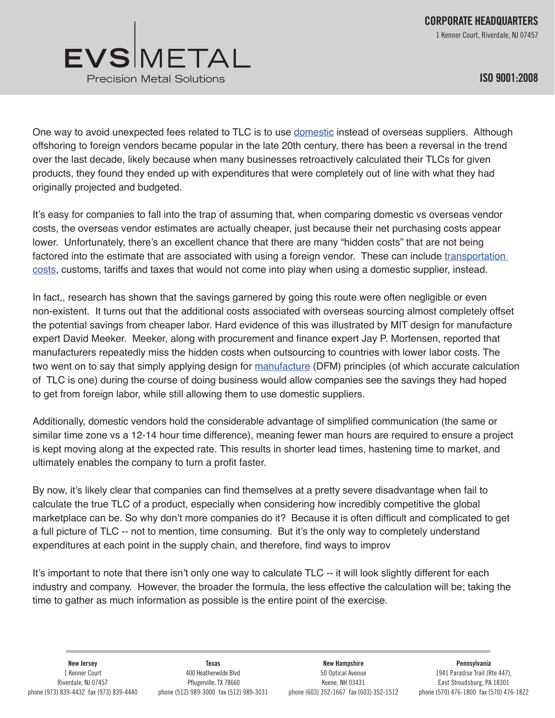

**ISO 9001:2008**

One way to avoid unexpected fees related to TLC is to use domestic instead of overseas suppliers. Although offshoring to foreign vendors became popular in the late 20th century, there has been a reversal in the trend over the last decade, likely because when many businesses retroactively calculated their TLCs for given products, they found they ended up with expenditures that were completely out of line with what they had originally projected and budgeted.

It's easy for companies to fall into the trap of assuming that, when comparing domestic vs overseas vendor costs, the overseas vendor estimates are actually cheaper, just because their net purchasing costs appear lower. Unfortunately, there's an excellent chance that there are many "hidden costs" that are not being factored into the estimate that are associated with using a foreign vendor. These can include transportation costs, customs, tariffs and taxes that would not come into play when using a domestic supplier, instead.

In fact,, research has shown that the savings garnered by going this route were often negligible or even non-existent. It turns out that the additional costs associated with overseas sourcing almost completely offset the potential savings from cheaper labor. Hard evidence of this was illustrated by MIT design for manufacture expert David Meeker. Meeker, along with procurement and finance expert Jay P. Mortensen, reported that manufacturers repeatedly miss the hidden costs when outsourcing to countries with lower labor costs. The two went on to say that simply applying design for manufacture (DFM) principles (of which accurate calculation of TLC is one) during the course of doing business would allow companies see the savings they had hoped to get from foreign labor, while still allowing them to use domestic suppliers.

Additionally, domestic vendors hold the considerable advantage of simplified communication (the same or similar time zone vs a 12-14 hour time difference), meaning fewer man hours are required to ensure a project is kept moving along at the expected rate. This results in shorter lead times, hastening time to market, and ultimately enables the company to turn a profit faster.

By now, it's likely clear that companies can find themselves at a pretty severe disadvantage when fail to calculate the true TLC of a product, especially when considering how incredibly competitive the global marketplace can be. So why don't more companies do it? Because it is often difficult and complicated to get a full picture of TLC -- not to mention, time consuming. But it's the only way to completely understand expenditures at each point in the supply chain, and therefore, find ways to improv

It's important to note that there isn't only one way to calculate TLC -- it will look slightly different for each industry and company. However, the broader the formula, the less effective the calculation will be; taking the time to gather as much information as possible is the entire point of the exercise.